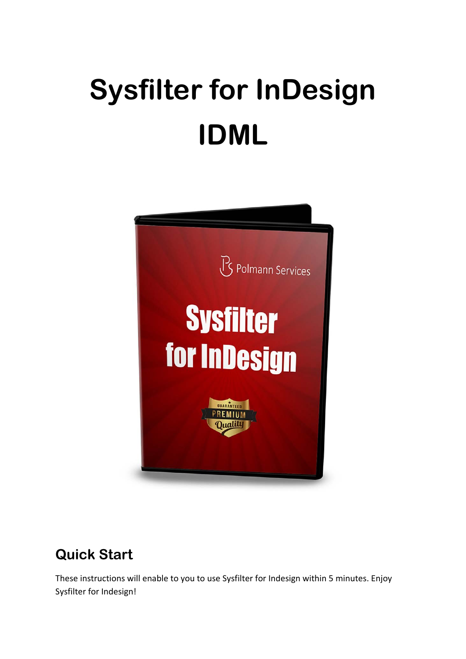# **Sysfilter for InDesign IDML**



# **Quick Start**

These instructions will enable to you to use Sysfilter for Indesign within 5 minutes. Enjoy Sysfilter for Indesign!